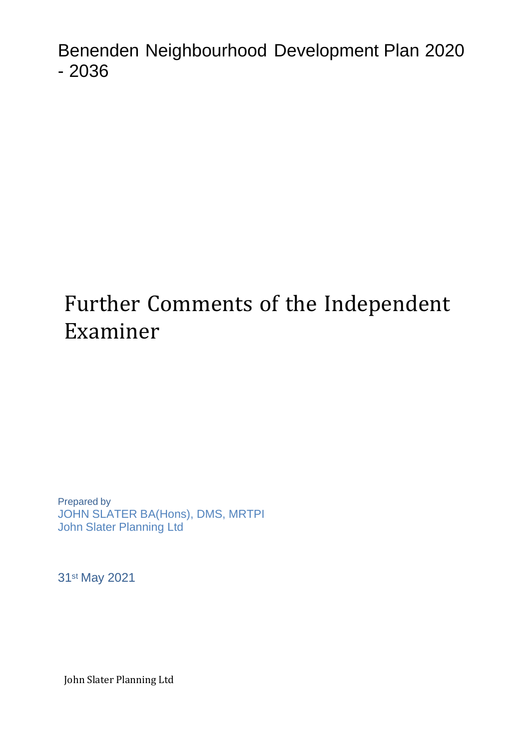Benenden Neighbourhood Development Plan 2020 - 2036

# Further Comments of the Independent Examiner

Prepared by JOHN SLATER BA(Hons), DMS, MRTPI John Slater Planning Ltd

31st May 2021

John Slater Planning Ltd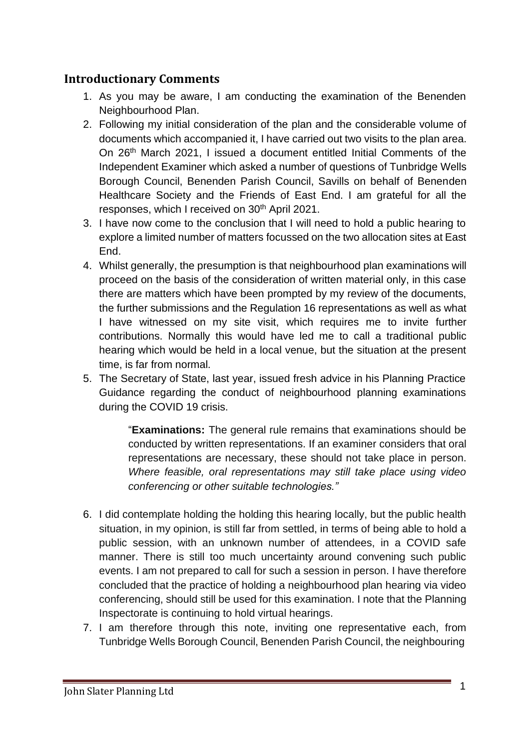## **Introductionary Comments**

- 1. As you may be aware, I am conducting the examination of the Benenden Neighbourhood Plan.
- 2. Following my initial consideration of the plan and the considerable volume of documents which accompanied it, I have carried out two visits to the plan area. On 26th March 2021, I issued a document entitled Initial Comments of the Independent Examiner which asked a number of questions of Tunbridge Wells Borough Council, Benenden Parish Council, Savills on behalf of Benenden Healthcare Society and the Friends of East End. I am grateful for all the responses, which I received on 30<sup>th</sup> April 2021.
- 3. I have now come to the conclusion that I will need to hold a public hearing to explore a limited number of matters focussed on the two allocation sites at East End.
- 4. Whilst generally, the presumption is that neighbourhood plan examinations will proceed on the basis of the consideration of written material only, in this case there are matters which have been prompted by my review of the documents, the further submissions and the Regulation 16 representations as well as what I have witnessed on my site visit, which requires me to invite further contributions. Normally this would have led me to call a traditional public hearing which would be held in a local venue, but the situation at the present time, is far from normal.
- 5. The Secretary of State, last year, issued fresh advice in his Planning Practice Guidance regarding the conduct of neighbourhood planning examinations during the COVID 19 crisis.

"**Examinations:** The general rule remains that examinations should be conducted by written representations. If an examiner considers that oral representations are necessary, these should not take place in person. *Where feasible, oral representations may still take place using video conferencing or other suitable technologies."*

- 6. I did contemplate holding the holding this hearing locally, but the public health situation, in my opinion, is still far from settled, in terms of being able to hold a public session, with an unknown number of attendees, in a COVID safe manner. There is still too much uncertainty around convening such public events. I am not prepared to call for such a session in person. I have therefore concluded that the practice of holding a neighbourhood plan hearing via video conferencing, should still be used for this examination. I note that the Planning Inspectorate is continuing to hold virtual hearings.
- 7. I am therefore through this note, inviting one representative each, from Tunbridge Wells Borough Council, Benenden Parish Council, the neighbouring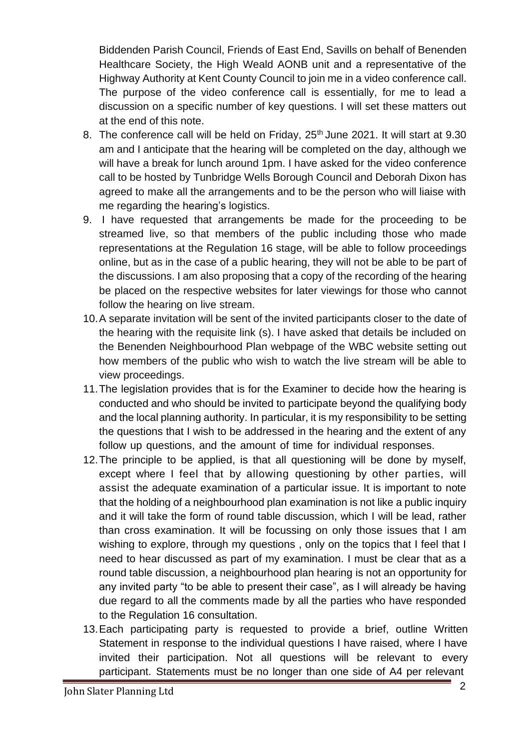Biddenden Parish Council, Friends of East End, Savills on behalf of Benenden Healthcare Society, the High Weald AONB unit and a representative of the Highway Authority at Kent County Council to join me in a video conference call. The purpose of the video conference call is essentially, for me to lead a discussion on a specific number of key questions. I will set these matters out at the end of this note.

- 8. The conference call will be held on Friday, 25<sup>th</sup> June 2021. It will start at 9.30 am and I anticipate that the hearing will be completed on the day, although we will have a break for lunch around 1pm. I have asked for the video conference call to be hosted by Tunbridge Wells Borough Council and Deborah Dixon has agreed to make all the arrangements and to be the person who will liaise with me regarding the hearing's logistics.
- 9. I have requested that arrangements be made for the proceeding to be streamed live, so that members of the public including those who made representations at the Regulation 16 stage, will be able to follow proceedings online, but as in the case of a public hearing, they will not be able to be part of the discussions. I am also proposing that a copy of the recording of the hearing be placed on the respective websites for later viewings for those who cannot follow the hearing on live stream.
- 10.A separate invitation will be sent of the invited participants closer to the date of the hearing with the requisite link (s). I have asked that details be included on the Benenden Neighbourhood Plan webpage of the WBC website setting out how members of the public who wish to watch the live stream will be able to view proceedings.
- 11.The legislation provides that is for the Examiner to decide how the hearing is conducted and who should be invited to participate beyond the qualifying body and the local planning authority. In particular, it is my responsibility to be setting the questions that I wish to be addressed in the hearing and the extent of any follow up questions, and the amount of time for individual responses.
- 12.The principle to be applied, is that all questioning will be done by myself, except where I feel that by allowing questioning by other parties, will assist the adequate examination of a particular issue. It is important to note that the holding of a neighbourhood plan examination is not like a public inquiry and it will take the form of round table discussion, which I will be lead, rather than cross examination. It will be focussing on only those issues that I am wishing to explore, through my questions, only on the topics that I feel that I need to hear discussed as part of my examination. I must be clear that as a round table discussion, a neighbourhood plan hearing is not an opportunity for any invited party "to be able to present their case", as I will already be having due regard to all the comments made by all the parties who have responded to the Regulation 16 consultation.
- 13.Each participating party is requested to provide a brief, outline Written Statement in response to the individual questions I have raised, where I have invited their participation. Not all questions will be relevant to every participant. Statements must be no longer than one side of A4 per relevant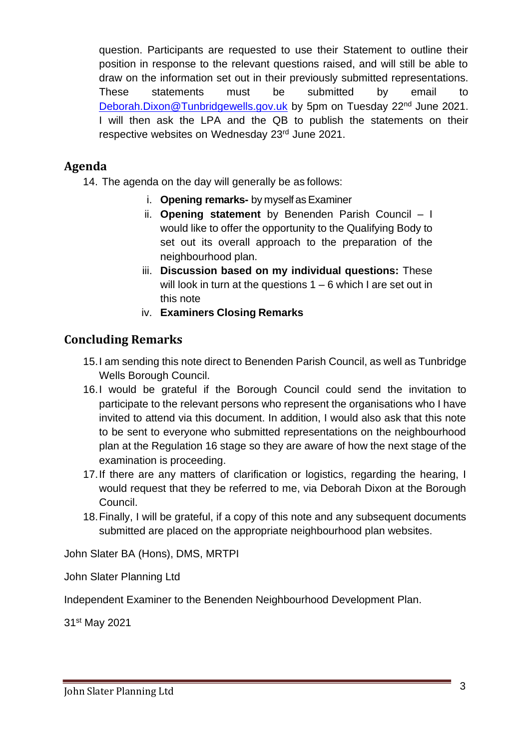question. Participants are requested to use their Statement to outline their position in response to the relevant questions raised, and will still be able to draw on the information set out in their previously submitted representations. These statements must be submitted by email [Deborah.Dixon@Tunbridgewells.gov.uk](mailto:Deborah.Dixon@Tunbridgewells.gov.uk) by 5pm on Tuesday 22<sup>nd</sup> June 2021. I will then ask the LPA and the QB to publish the statements on their respective websites on Wednesday 23rd June 2021.

## **Agenda**

14. The agenda on the day will generally be as follows:

- i. **Opening remarks-** by myself as Examiner
- ii. **Opening statement** by Benenden Parish Council I would like to offer the opportunity to the Qualifying Body to set out its overall approach to the preparation of the neighbourhood plan.
- iii. **Discussion based on my individual questions:** These will look in turn at the questions  $1 - 6$  which I are set out in this note
- iv. **Examiners Closing Remarks**

## **Concluding Remarks**

- 15.I am sending this note direct to Benenden Parish Council, as well as Tunbridge Wells Borough Council.
- 16.I would be grateful if the Borough Council could send the invitation to participate to the relevant persons who represent the organisations who I have invited to attend via this document. In addition, I would also ask that this note to be sent to everyone who submitted representations on the neighbourhood plan at the Regulation 16 stage so they are aware of how the next stage of the examination is proceeding.
- 17.If there are any matters of clarification or logistics, regarding the hearing, I would request that they be referred to me, via Deborah Dixon at the Borough Council.
- 18.Finally, I will be grateful, if a copy of this note and any subsequent documents submitted are placed on the appropriate neighbourhood plan websites.

John Slater BA (Hons), DMS, MRTPI

John Slater Planning Ltd

Independent Examiner to the Benenden Neighbourhood Development Plan.

31st May 2021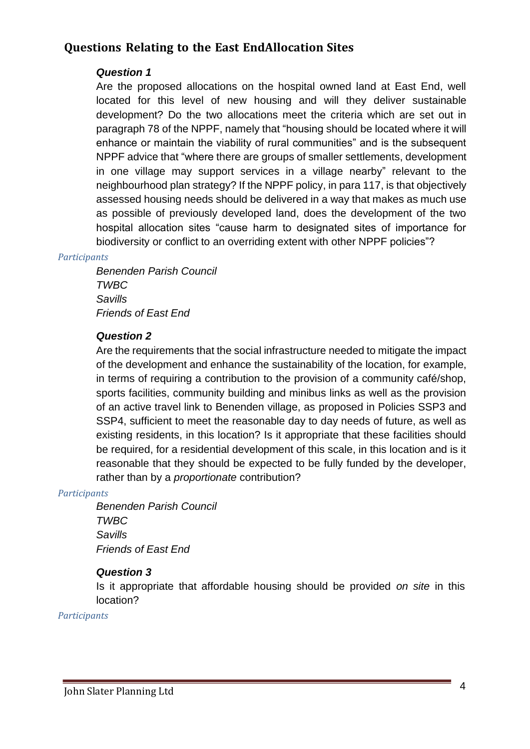## **Questions Relating to the East EndAllocation Sites**

### *Question 1*

Are the proposed allocations on the hospital owned land at East End, well located for this level of new housing and will they deliver sustainable development? Do the two allocations meet the criteria which are set out in paragraph 78 of the NPPF, namely that "housing should be located where it will enhance or maintain the viability of rural communities" and is the subsequent NPPF advice that "where there are groups of smaller settlements, development in one village may support services in a village nearby" relevant to the neighbourhood plan strategy? If the NPPF policy, in para 117, is that objectively assessed housing needs should be delivered in a way that makes as much use as possible of previously developed land, does the development of the two hospital allocation sites "cause harm to designated sites of importance for biodiversity or conflict to an overriding extent with other NPPF policies"?

#### *Participants*

*Benenden Parish Council TWBC Savills Friends of East End*

#### *Question 2*

Are the requirements that the social infrastructure needed to mitigate the impact of the development and enhance the sustainability of the location, for example, in terms of requiring a contribution to the provision of a community café/shop, sports facilities, community building and minibus links as well as the provision of an active travel link to Benenden village, as proposed in Policies SSP3 and SSP4, sufficient to meet the reasonable day to day needs of future, as well as existing residents, in this location? Is it appropriate that these facilities should be required, for a residential development of this scale, in this location and is it reasonable that they should be expected to be fully funded by the developer, rather than by a *proportionate* contribution?

#### *Participants*

*Benenden Parish Council TWBC Savills Friends of East End*

#### *Question 3*

Is it appropriate that affordable housing should be provided *on site* in this location?

*Participants*